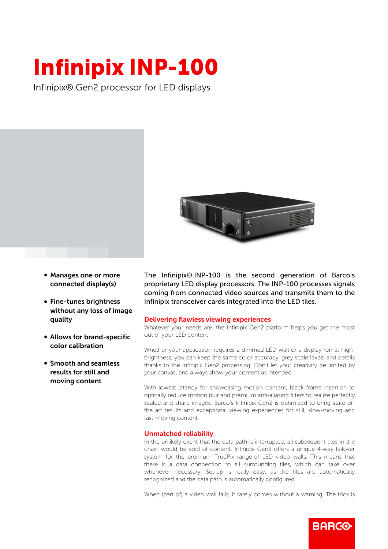## Infinipix INP-100

Infinipix® Gen2 processor for LED displays



- Manages one or more connected display(s)
- Fine-tunes brightness without any loss of image quality
- Allows for brand-specific color calibration
- **Smooth and seamless** results for still and moving content

The Infinipix® INP-100 is the second generation of Barco's proprietary LED display processors. The INP-100 processes signals coming from connected video sources and transmits them to the Infinipix transceiver cards integrated into the LED tiles.

## Delivering flawless viewing experiences

Whatever your needs are, the Infinipix Gen2 platform helps you get the most out of your LED content.

Whether your application requires a dimmed LED wall or a display run at highbrightness, you can keep the same color accuracy, grey scale levels and details thanks to the Infinipix Gen2 processing. Don't let your creativity be limited by your canvas, and always show your content as intended.

With lowest latency for showcasing motion content, black frame insertion to optically reduce motion blur and premium anti-aliasing filters to realize perfectly scaled and sharp images, Barco's Infinipix Gen2 is optimized to bring state-ofthe art results and exceptional viewing experiences for still, slow-moving and fast-moving content.

## Unmatched reliability

In the unlikely event that the data path is interrupted, all subsequent tiles in the chain would be void of content. Infinipix Gen2 offers a unique 4-way failover system for the premium TruePix range of LED video walls. This means that there is a data connection to all surrounding tiles, which can take over whenever necessary. Set-up is really easy, as the tiles are automatically recognized and the data path is automatically configured.

When (part of) a video wall fails, it rarely comes without a warning. The trick is

**RARGO**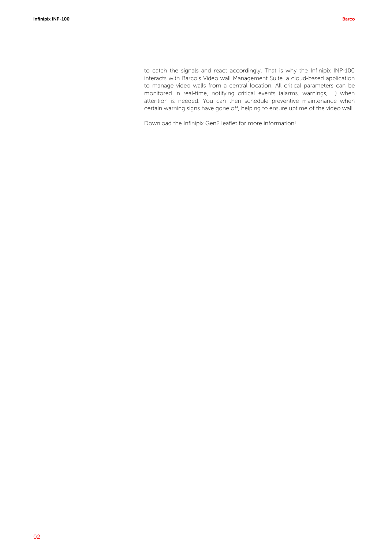to catch the signals and react accordingly. That is why the Infinipix INP-100 interacts with Barco's Video wall Management Suite, a cloud-based application to manage video walls from a central location. All critical parameters can be monitored in real-time, notifying critical events (alarms, warnings, ...) when attention is needed. You can then schedule preventive maintenance when certain warning signs have gone off, helping to ensure uptime of the video wall.

Download the Infinipix Gen2 leaflet for more information!